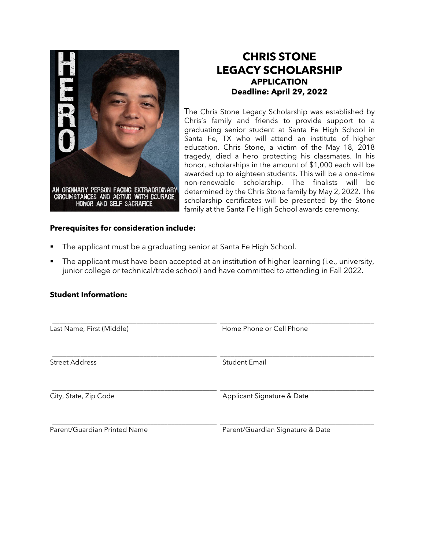

## **CHRIS STONE LEGACY SCHOLARSHIP APPLICATION Deadline: April 29, 2022**

The Chris Stone Legacy Scholarship was established by Chris's family and friends to provide support to a graduating senior student at Santa Fe High School in Santa Fe, TX who will attend an institute of higher education. Chris Stone, a victim of the May 18, 2018 tragedy, died a hero protecting his classmates. In his honor, scholarships in the amount of \$1,000 each will be awarded up to eighteen students. This will be a one-time non-renewable scholarship. The finalists will be determined by the Chris Stone family by May 2, 2022. The scholarship certificates will be presented by the Stone family at the Santa Fe High School awards ceremony.

## **Prerequisites for consideration include:**

- The applicant must be a graduating senior at Santa Fe High School.
- The applicant must have been accepted at an institution of higher learning (i.e., university, junior college or technical/trade school) and have committed to attending in Fall 2022.

## **Student Information:**

*\_\_\_\_\_\_\_\_\_\_\_\_\_\_\_\_\_\_\_\_\_\_\_\_\_\_\_\_\_\_\_\_\_\_\_\_\_\_\_\_\_\_\_\_\_\_\_* \_\_\_\_\_\_\_\_\_\_\_\_\_\_\_\_\_\_\_\_\_\_\_\_\_\_\_\_\_\_\_\_\_\_\_\_\_\_\_\_\_\_\_\_ Last Name, First (Middle) and Microsoft Home Phone or Cell Phone *\_\_\_\_\_\_\_\_\_\_\_\_\_\_\_\_\_\_\_\_\_\_\_\_\_\_\_\_\_\_\_\_\_\_\_\_\_\_\_\_\_\_\_\_\_\_\_* \_\_\_\_\_\_\_\_\_\_\_\_\_\_\_\_\_\_\_\_\_\_\_\_\_\_\_\_\_\_\_\_\_\_\_\_\_\_\_\_\_\_\_\_ Street Address Student Email *\_\_\_\_\_\_\_\_\_\_\_\_\_\_\_\_\_\_\_\_\_\_\_\_\_\_\_\_\_\_\_\_\_\_\_\_\_\_\_\_\_\_\_\_\_\_\_* \_\_\_\_\_\_\_\_\_\_\_\_\_\_\_\_\_\_\_\_\_\_\_\_\_\_\_\_\_\_\_\_\_\_\_\_\_\_\_\_\_\_\_\_ City, State, Zip Code **Applicant Signature & Date** *\_\_\_\_\_\_\_\_\_\_\_\_\_\_\_\_\_\_\_\_\_\_\_\_\_\_\_\_\_\_\_\_\_\_\_\_\_\_\_\_\_\_\_\_\_\_\_* \_\_\_\_\_\_\_\_\_\_\_\_\_\_\_\_\_\_\_\_\_\_\_\_\_\_\_\_\_\_\_\_\_\_\_\_\_\_\_\_\_\_\_\_ Parent/Guardian Printed Name Parent/Guardian Signature & Date